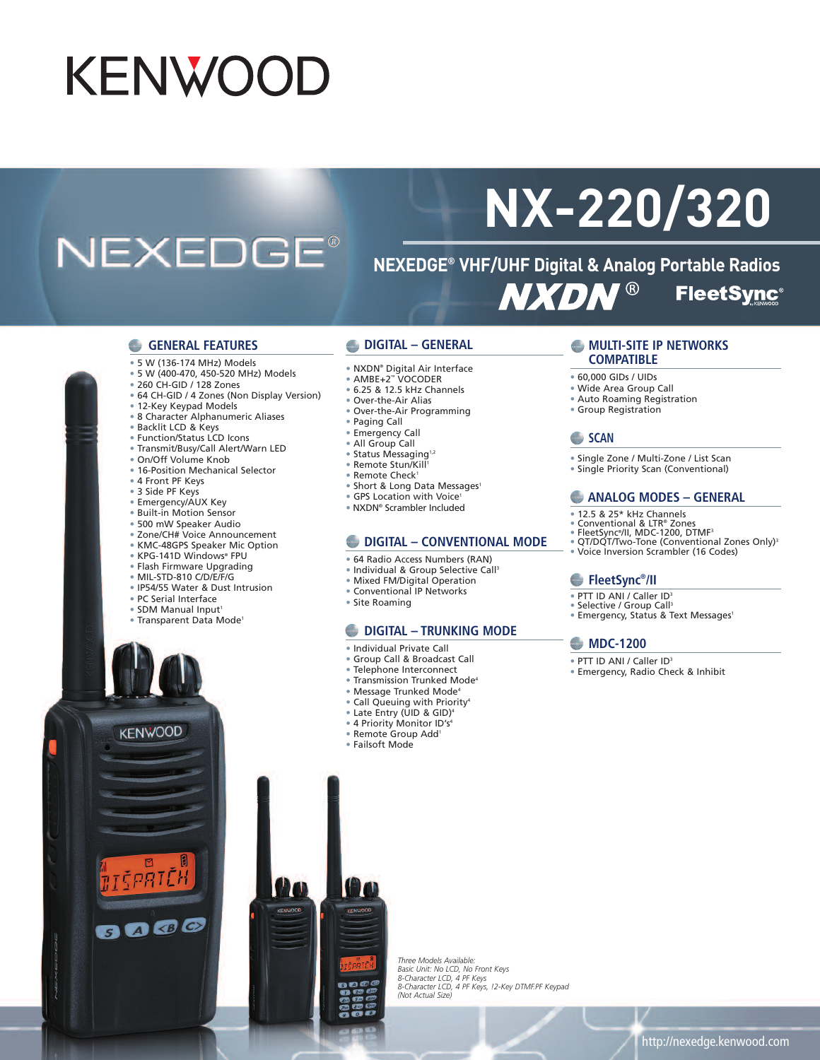## **KENWOOD**

## **NEXEDGE®**

# **NX-220/320**

**NEXEDGE® VHF/UHF Digital & Analog Portable Radios NXDN® FleetSync®** 

#### **GENERAL FEATURES**

- 5 W (136-174 MHz) Models
- 5 W (400-470, 450-520 MHz) Models
- 260 CH-GID / 128 Zones
- 64 CH-GID / 4 Zones (Non Display Version)
- 12-Key Keypad Models
- 8 Character Alphanumeric Aliases
- Backlit LCD & Keys
- Function/Status LCD Icons
- Transmit/Busy/Call Alert/Warn LED
- On/Off Volume Knob
- 16-Position Mechanical Selector
- 4 Front PF Keys
- 3 Side PF Keys
- Emergency/AUX Key
- Built-in Motion Sensor
- 500 mW Speaker Audio
- Zone/CH# Voice Announcement
- KMC-48GPS Speaker Mic Option
- KPG-141D Windows® FPU
- Flash Firmware Upgrading
- MIL-STD-810 C/D/E/F/G
- IP54/55 Water & Dust Intrusion
- PC Serial Interface
- SDM Manual Input1
- Transparent Data Mode1

#### **DIGITAL – GENERAL**

- NXDN® Digital Air Interface
- AMBE+2™ VOCODER
- 6.25 & 12.5 kHz Channels
- Over-the-Air Alias
- Over-the-Air Programming
- Paging Call
- Emergency Call
- All Group Call
- Status Messaging<sup>1,2</sup>
- Remote Stun/Kill 1
- Remote Check<sup>1</sup>
- Short & Long Data Messages<sup>1</sup>
- GPS Location with Voice<sup>1</sup>
- NXDN® Scrambler Included

#### **DIGITAL – CONVENTIONAL MODE**

- 64 Radio Access Numbers (RAN)
- Individual & Group Selective Call<sup>3</sup>
- Mixed FM/Digital Operation
- Conventional IP Networks
- Site Roaming

#### **DIGITAL – TRUNKING MODE**

- Individual Private Call
- Group Call & Broadcast Call
- Telephone Interconnect
- Transmission Trunked Mode4
- Message Trunked Mode4
- Call Queuing with Priority4
- Late Entry (UID & GID) 4
- 
- Remote Group Add1
- Failsoft Mode

#### **MULTI-SITE IP NETWORKS COMPATIBLE**

- 60,000 GIDs / UIDs
- Wide Area Group Call
- Auto Roaming Registration
- Group Registration

#### **SCAN**

- Single Zone / Multi-Zone / List Scan
- Single Priority Scan (Conventional)

#### **ANALOG MODES – GENERAL**

- 12.5 & 25\* kHz Channels
- 
- 
- ® Conventional & LTR® Zones<br>® FleetSync®/II, MDC-1200, DTMF<sup>3</sup><br>® QT/DQT/Two-Tone (Conventional Zones Only)<sup>3</sup>
- Voice Inversion Scrambler (16 Codes)

#### **FleetSync® /II**

- PTT ID ANI / Caller ID<sup>3</sup>
- 
- Selective / Group Call<sup>3</sup><br>• Emergency, Status & Text Messages<sup>1</sup>

#### **MDC-1200**

- PTT ID ANI / Caller ID<sup>3</sup>
- Emergency, Radio Check & Inhibit

*Three Models Available:* Basic Unit: No LCD, No Front Keys<br>8-Character LCD, 4 PF Keys<br>8-Character LCD, 4 PF Keys, !2-Key DTMF.PF Keypad *(Not Actual Size)*



**KENWOOD** 

EPRTE

8000

- - - -
			-
			-
			- 4 Priority Monitor ID's4
			-
			-